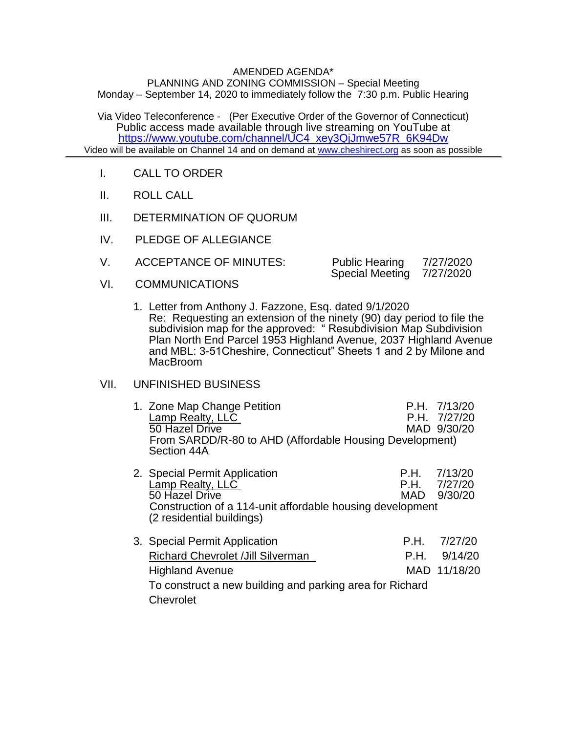## AMENDED AGENDA\*

PLANNING AND ZONING COMMISSION – Special Meeting Monday – September 14, 2020 to immediately follow the 7:30 p.m. Public Hearing

Via Video Teleconference - (Per Executive Order of the Governor of Connecticut) Public access made available through live streaming on YouTube at [https://www.youtube.com/channel/UC4\\_xey3QjJmwe57R\\_6K94Dw](https://www.youtube.com/channel/UC4_xey3QjJmwe57R_6K94Dw) Video will be available on Channel 14 and on demand at [www.cheshirect.org](http://www.cheshirect.org/) as soon as possible

- I. CALL TO ORDER
- II. ROLL CALL
- III. DETERMINATION OF QUORUM
- IV. PLEDGE OF ALLEGIANCE
- V. ACCEPTANCE OF MINUTES: Public Hearing 7/27/2020<br>Special Meeting 7/27/2020 Special Meeting
- VI. COMMUNICATIONS
	- 1. Letter from Anthony J. Fazzone, Esq. dated 9/1/2020 Re: Requesting an extension of the ninety (90) day period to file the subdivision map for the approved: " Resubdivision Map Subdivision Plan North End Parcel 1953 Highland Avenue, 2037 Highland Avenue and MBL: 3-51Cheshire, Connecticut" Sheets 1 and 2 by Milone and MacBroom

## VII. UNFINISHED BUSINESS

| 1. Zone Map Change Petition<br>Lamp Realty, LLC<br>50 Hazel Drive<br>From SARDD/R-80 to AHD (Affordable Housing Development)<br>Section 44A                                   |              | P.H. 7/13/20<br>P.H. 7/27/20<br>MAD 9/30/20 |
|-------------------------------------------------------------------------------------------------------------------------------------------------------------------------------|--------------|---------------------------------------------|
| 2. Special Permit Application<br>Lamp Realty, LLC<br>50 Hazel Drive<br>Construction of a 114-unit affordable housing development<br>(2 residential buildings)                 | MAD          | P.H. 7/13/20<br>P.H. 7/27/20<br>9/30/20     |
| 3. Special Permit Application<br><b>Richard Chevrolet / Jill Silverman</b><br><b>Highland Avenue</b><br>To construct a new building and parking area for Richard<br>Chevrolet | P.H.<br>P.H. | 7/27/20<br>9/14/20<br>MAD 11/18/20          |